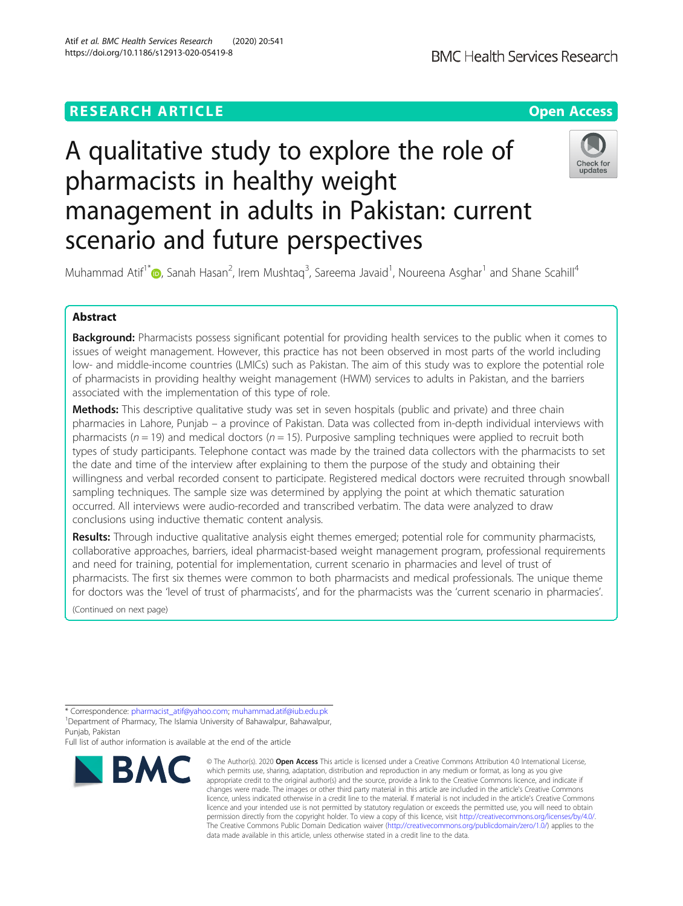# **RESEARCH ARTICLE Example 2014 12:30 The Contract of Contract ACCESS**

# A qualitative study to explore the role of pharmacists in healthy weight management in adults in Pakistan: current scenario and future perspectives



Muhammad Atif<sup>1\*</sup> $\textsf{\textcircled{\tiny 2}}$ [,](http://orcid.org/0000-0001-6866-8152) Sanah Hasan<sup>2</sup>, Irem Mushtaq<sup>3</sup>, Sareema Javaid<sup>1</sup>, Noureena Asghar<sup>1</sup> and Shane Scahill<sup>4</sup>

### Abstract

Background: Pharmacists possess significant potential for providing health services to the public when it comes to issues of weight management. However, this practice has not been observed in most parts of the world including low- and middle-income countries (LMICs) such as Pakistan. The aim of this study was to explore the potential role of pharmacists in providing healthy weight management (HWM) services to adults in Pakistan, and the barriers associated with the implementation of this type of role.

**Methods:** This descriptive qualitative study was set in seven hospitals (public and private) and three chain pharmacies in Lahore, Punjab – a province of Pakistan. Data was collected from in-depth individual interviews with pharmacists ( $n = 19$ ) and medical doctors ( $n = 15$ ). Purposive sampling techniques were applied to recruit both types of study participants. Telephone contact was made by the trained data collectors with the pharmacists to set the date and time of the interview after explaining to them the purpose of the study and obtaining their willingness and verbal recorded consent to participate. Registered medical doctors were recruited through snowball sampling techniques. The sample size was determined by applying the point at which thematic saturation occurred. All interviews were audio-recorded and transcribed verbatim. The data were analyzed to draw conclusions using inductive thematic content analysis.

Results: Through inductive qualitative analysis eight themes emerged; potential role for community pharmacists, collaborative approaches, barriers, ideal pharmacist-based weight management program, professional requirements and need for training, potential for implementation, current scenario in pharmacies and level of trust of pharmacists. The first six themes were common to both pharmacists and medical professionals. The unique theme for doctors was the 'level of trust of pharmacists', and for the pharmacists was the 'current scenario in pharmacies'.

(Continued on next page)

Punjab, Pakistan

Full list of author information is available at the end of the article



<sup>©</sup> The Author(s), 2020 **Open Access** This article is licensed under a Creative Commons Attribution 4.0 International License, which permits use, sharing, adaptation, distribution and reproduction in any medium or format, as long as you give appropriate credit to the original author(s) and the source, provide a link to the Creative Commons licence, and indicate if changes were made. The images or other third party material in this article are included in the article's Creative Commons licence, unless indicated otherwise in a credit line to the material. If material is not included in the article's Creative Commons licence and your intended use is not permitted by statutory regulation or exceeds the permitted use, you will need to obtain permission directly from the copyright holder. To view a copy of this licence, visit [http://creativecommons.org/licenses/by/4.0/.](http://creativecommons.org/licenses/by/4.0/) The Creative Commons Public Domain Dedication waiver [\(http://creativecommons.org/publicdomain/zero/1.0/](http://creativecommons.org/publicdomain/zero/1.0/)) applies to the data made available in this article, unless otherwise stated in a credit line to the data.

<sup>\*</sup> Correspondence: [pharmacist\\_atif@yahoo.com;](mailto:pharmacist_atif@yahoo.com) [muhammad.atif@iub.edu.pk](mailto:muhammad.atif@iub.edu.pk) <sup>1</sup>Department of Pharmacy, The Islamia University of Bahawalpur, Bahawalpur,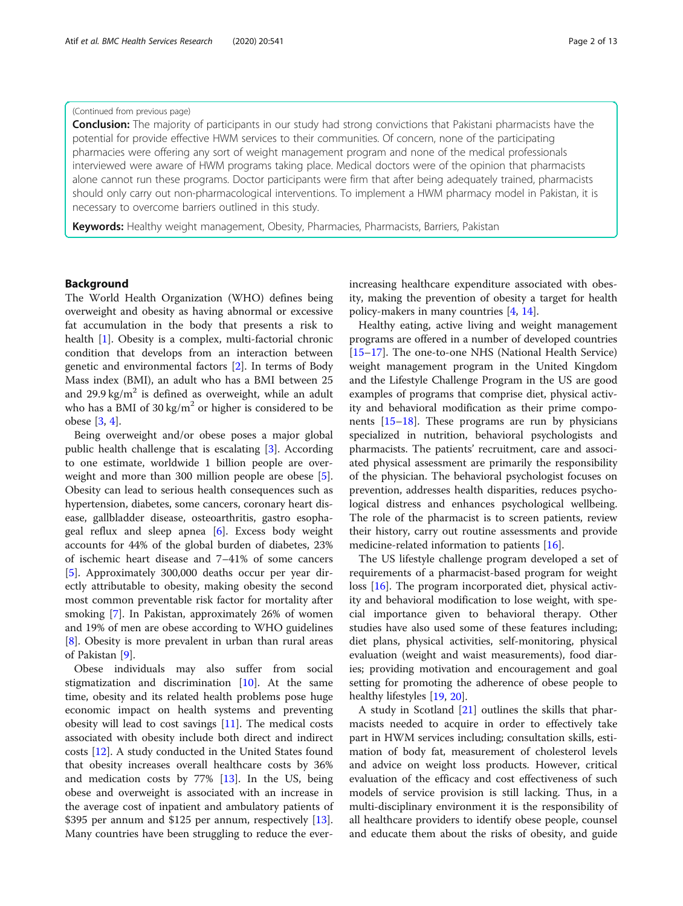#### (Continued from previous page)

**Conclusion:** The majority of participants in our study had strong convictions that Pakistani pharmacists have the potential for provide effective HWM services to their communities. Of concern, none of the participating pharmacies were offering any sort of weight management program and none of the medical professionals interviewed were aware of HWM programs taking place. Medical doctors were of the opinion that pharmacists alone cannot run these programs. Doctor participants were firm that after being adequately trained, pharmacists should only carry out non-pharmacological interventions. To implement a HWM pharmacy model in Pakistan, it is necessary to overcome barriers outlined in this study.

Keywords: Healthy weight management, Obesity, Pharmacies, Pharmacists, Barriers, Pakistan

#### Background

The World Health Organization (WHO) defines being overweight and obesity as having abnormal or excessive fat accumulation in the body that presents a risk to health [[1\]](#page-11-0). Obesity is a complex, multi-factorial chronic condition that develops from an interaction between genetic and environmental factors [\[2](#page-11-0)]. In terms of Body Mass index (BMI), an adult who has a BMI between 25 and 29.9 kg/m<sup>2</sup> is defined as overweight, while an adult who has a BMI of 30 kg/ $m^2$  or higher is considered to be obese [[3,](#page-11-0) [4\]](#page-11-0).

Being overweight and/or obese poses a major global public health challenge that is escalating [[3\]](#page-11-0). According to one estimate, worldwide 1 billion people are overweight and more than 300 million people are obese [\[5](#page-11-0)]. Obesity can lead to serious health consequences such as hypertension, diabetes, some cancers, coronary heart disease, gallbladder disease, osteoarthritis, gastro esophageal reflux and sleep apnea  $[6]$  $[6]$ . Excess body weight accounts for 44% of the global burden of diabetes, 23% of ischemic heart disease and 7–41% of some cancers [[5\]](#page-11-0). Approximately 300,000 deaths occur per year directly attributable to obesity, making obesity the second most common preventable risk factor for mortality after smoking [[7](#page-11-0)]. In Pakistan, approximately 26% of women and 19% of men are obese according to WHO guidelines [[8\]](#page-11-0). Obesity is more prevalent in urban than rural areas of Pakistan [[9\]](#page-11-0).

Obese individuals may also suffer from social stigmatization and discrimination [[10](#page-11-0)]. At the same time, obesity and its related health problems pose huge economic impact on health systems and preventing obesity will lead to cost savings [[11\]](#page-11-0). The medical costs associated with obesity include both direct and indirect costs [\[12\]](#page-11-0). A study conducted in the United States found that obesity increases overall healthcare costs by 36% and medication costs by 77% [[13\]](#page-11-0). In the US, being obese and overweight is associated with an increase in the average cost of inpatient and ambulatory patients of \$395 per annum and \$125 per annum, respectively [\[13](#page-11-0)]. Many countries have been struggling to reduce the everincreasing healthcare expenditure associated with obesity, making the prevention of obesity a target for health policy-makers in many countries [\[4,](#page-11-0) [14\]](#page-11-0).

Healthy eating, active living and weight management programs are offered in a number of developed countries [[15](#page-11-0)–[17](#page-11-0)]. The one-to-one NHS (National Health Service) weight management program in the United Kingdom and the Lifestyle Challenge Program in the US are good examples of programs that comprise diet, physical activity and behavioral modification as their prime components [\[15](#page-11-0)–[18\]](#page-11-0). These programs are run by physicians specialized in nutrition, behavioral psychologists and pharmacists. The patients' recruitment, care and associated physical assessment are primarily the responsibility of the physician. The behavioral psychologist focuses on prevention, addresses health disparities, reduces psychological distress and enhances psychological wellbeing. The role of the pharmacist is to screen patients, review their history, carry out routine assessments and provide medicine-related information to patients [[16\]](#page-11-0).

The US lifestyle challenge program developed a set of requirements of a pharmacist-based program for weight loss [[16](#page-11-0)]. The program incorporated diet, physical activity and behavioral modification to lose weight, with special importance given to behavioral therapy. Other studies have also used some of these features including; diet plans, physical activities, self-monitoring, physical evaluation (weight and waist measurements), food diaries; providing motivation and encouragement and goal setting for promoting the adherence of obese people to healthy lifestyles [[19,](#page-11-0) [20\]](#page-11-0).

A study in Scotland [\[21\]](#page-11-0) outlines the skills that pharmacists needed to acquire in order to effectively take part in HWM services including; consultation skills, estimation of body fat, measurement of cholesterol levels and advice on weight loss products. However, critical evaluation of the efficacy and cost effectiveness of such models of service provision is still lacking. Thus, in a multi-disciplinary environment it is the responsibility of all healthcare providers to identify obese people, counsel and educate them about the risks of obesity, and guide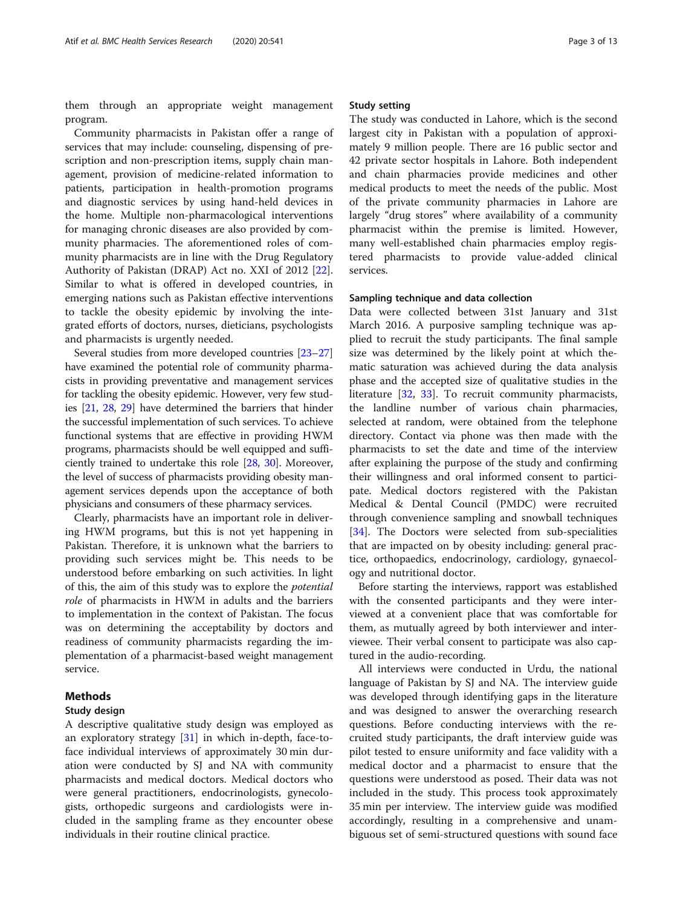them through an appropriate weight management program.

Community pharmacists in Pakistan offer a range of services that may include: counseling, dispensing of prescription and non-prescription items, supply chain management, provision of medicine-related information to patients, participation in health-promotion programs and diagnostic services by using hand-held devices in the home. Multiple non-pharmacological interventions for managing chronic diseases are also provided by community pharmacies. The aforementioned roles of community pharmacists are in line with the Drug Regulatory Authority of Pakistan (DRAP) Act no. XXI of 2012 [\[22](#page-11-0)]. Similar to what is offered in developed countries, in emerging nations such as Pakistan effective interventions to tackle the obesity epidemic by involving the integrated efforts of doctors, nurses, dieticians, psychologists and pharmacists is urgently needed.

Several studies from more developed countries [\[23](#page-11-0)–[27](#page-11-0)] have examined the potential role of community pharmacists in providing preventative and management services for tackling the obesity epidemic. However, very few studies [\[21,](#page-11-0) [28](#page-11-0), [29\]](#page-11-0) have determined the barriers that hinder the successful implementation of such services. To achieve functional systems that are effective in providing HWM programs, pharmacists should be well equipped and sufficiently trained to undertake this role [\[28,](#page-11-0) [30](#page-11-0)]. Moreover, the level of success of pharmacists providing obesity management services depends upon the acceptance of both physicians and consumers of these pharmacy services.

Clearly, pharmacists have an important role in delivering HWM programs, but this is not yet happening in Pakistan. Therefore, it is unknown what the barriers to providing such services might be. This needs to be understood before embarking on such activities. In light of this, the aim of this study was to explore the potential role of pharmacists in HWM in adults and the barriers to implementation in the context of Pakistan. The focus was on determining the acceptability by doctors and readiness of community pharmacists regarding the implementation of a pharmacist-based weight management service.

#### Methods

#### Study design

A descriptive qualitative study design was employed as an exploratory strategy  $[31]$  $[31]$  in which in-depth, face-toface individual interviews of approximately 30 min duration were conducted by SJ and NA with community pharmacists and medical doctors. Medical doctors who were general practitioners, endocrinologists, gynecologists, orthopedic surgeons and cardiologists were included in the sampling frame as they encounter obese individuals in their routine clinical practice.

#### Study setting

The study was conducted in Lahore, which is the second largest city in Pakistan with a population of approximately 9 million people. There are 16 public sector and 42 private sector hospitals in Lahore. Both independent and chain pharmacies provide medicines and other medical products to meet the needs of the public. Most of the private community pharmacies in Lahore are largely "drug stores" where availability of a community pharmacist within the premise is limited. However, many well-established chain pharmacies employ registered pharmacists to provide value-added clinical services.

#### Sampling technique and data collection

Data were collected between 31st January and 31st March 2016. A purposive sampling technique was applied to recruit the study participants. The final sample size was determined by the likely point at which thematic saturation was achieved during the data analysis phase and the accepted size of qualitative studies in the literature [\[32](#page-12-0), [33\]](#page-12-0). To recruit community pharmacists, the landline number of various chain pharmacies, selected at random, were obtained from the telephone directory. Contact via phone was then made with the pharmacists to set the date and time of the interview after explaining the purpose of the study and confirming their willingness and oral informed consent to participate. Medical doctors registered with the Pakistan Medical & Dental Council (PMDC) were recruited through convenience sampling and snowball techniques [[34\]](#page-12-0). The Doctors were selected from sub-specialities that are impacted on by obesity including: general practice, orthopaedics, endocrinology, cardiology, gynaecology and nutritional doctor.

Before starting the interviews, rapport was established with the consented participants and they were interviewed at a convenient place that was comfortable for them, as mutually agreed by both interviewer and interviewee. Their verbal consent to participate was also captured in the audio-recording.

All interviews were conducted in Urdu, the national language of Pakistan by SJ and NA. The interview guide was developed through identifying gaps in the literature and was designed to answer the overarching research questions. Before conducting interviews with the recruited study participants, the draft interview guide was pilot tested to ensure uniformity and face validity with a medical doctor and a pharmacist to ensure that the questions were understood as posed. Their data was not included in the study. This process took approximately 35 min per interview. The interview guide was modified accordingly, resulting in a comprehensive and unambiguous set of semi-structured questions with sound face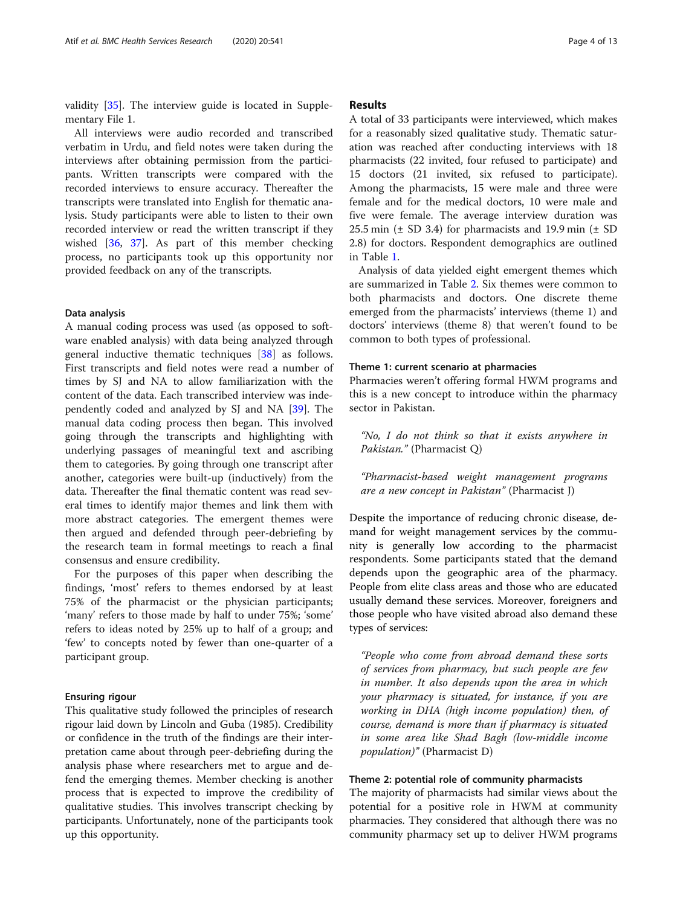validity [[35](#page-12-0)]. The interview guide is located in Supplementary File 1.

All interviews were audio recorded and transcribed verbatim in Urdu, and field notes were taken during the interviews after obtaining permission from the participants. Written transcripts were compared with the recorded interviews to ensure accuracy. Thereafter the transcripts were translated into English for thematic analysis. Study participants were able to listen to their own recorded interview or read the written transcript if they wished [[36,](#page-12-0) [37\]](#page-12-0). As part of this member checking process, no participants took up this opportunity nor provided feedback on any of the transcripts.

#### Data analysis

A manual coding process was used (as opposed to software enabled analysis) with data being analyzed through general inductive thematic techniques [[38\]](#page-12-0) as follows. First transcripts and field notes were read a number of times by SJ and NA to allow familiarization with the content of the data. Each transcribed interview was independently coded and analyzed by SJ and NA [[39\]](#page-12-0). The manual data coding process then began. This involved going through the transcripts and highlighting with underlying passages of meaningful text and ascribing them to categories. By going through one transcript after another, categories were built-up (inductively) from the data. Thereafter the final thematic content was read several times to identify major themes and link them with more abstract categories. The emergent themes were then argued and defended through peer-debriefing by the research team in formal meetings to reach a final consensus and ensure credibility.

For the purposes of this paper when describing the findings, 'most' refers to themes endorsed by at least 75% of the pharmacist or the physician participants; 'many' refers to those made by half to under 75%; 'some' refers to ideas noted by 25% up to half of a group; and 'few' to concepts noted by fewer than one-quarter of a participant group.

#### Ensuring rigour

This qualitative study followed the principles of research rigour laid down by Lincoln and Guba (1985). Credibility or confidence in the truth of the findings are their interpretation came about through peer-debriefing during the analysis phase where researchers met to argue and defend the emerging themes. Member checking is another process that is expected to improve the credibility of qualitative studies. This involves transcript checking by participants. Unfortunately, none of the participants took up this opportunity.

#### Results

A total of 33 participants were interviewed, which makes for a reasonably sized qualitative study. Thematic saturation was reached after conducting interviews with 18 pharmacists (22 invited, four refused to participate) and 15 doctors (21 invited, six refused to participate). Among the pharmacists, 15 were male and three were female and for the medical doctors, 10 were male and five were female. The average interview duration was 25.5 min ( $\pm$  SD 3.4) for pharmacists and 19.9 min ( $\pm$  SD 2.8) for doctors. Respondent demographics are outlined in Table [1.](#page-4-0)

Analysis of data yielded eight emergent themes which are summarized in Table [2](#page-5-0). Six themes were common to both pharmacists and doctors. One discrete theme emerged from the pharmacists' interviews (theme 1) and doctors' interviews (theme 8) that weren't found to be common to both types of professional.

#### Theme 1: current scenario at pharmacies

Pharmacies weren't offering formal HWM programs and this is a new concept to introduce within the pharmacy sector in Pakistan.

"No, I do not think so that it exists anywhere in Pakistan." (Pharmacist Q)

"Pharmacist-based weight management programs are a new concept in Pakistan" (Pharmacist J)

Despite the importance of reducing chronic disease, demand for weight management services by the community is generally low according to the pharmacist respondents. Some participants stated that the demand depends upon the geographic area of the pharmacy. People from elite class areas and those who are educated usually demand these services. Moreover, foreigners and those people who have visited abroad also demand these types of services:

"People who come from abroad demand these sorts of services from pharmacy, but such people are few in number. It also depends upon the area in which your pharmacy is situated, for instance, if you are working in DHA (high income population) then, of course, demand is more than if pharmacy is situated in some area like Shad Bagh (low-middle income population)" (Pharmacist D)

#### Theme 2: potential role of community pharmacists

The majority of pharmacists had similar views about the potential for a positive role in HWM at community pharmacies. They considered that although there was no community pharmacy set up to deliver HWM programs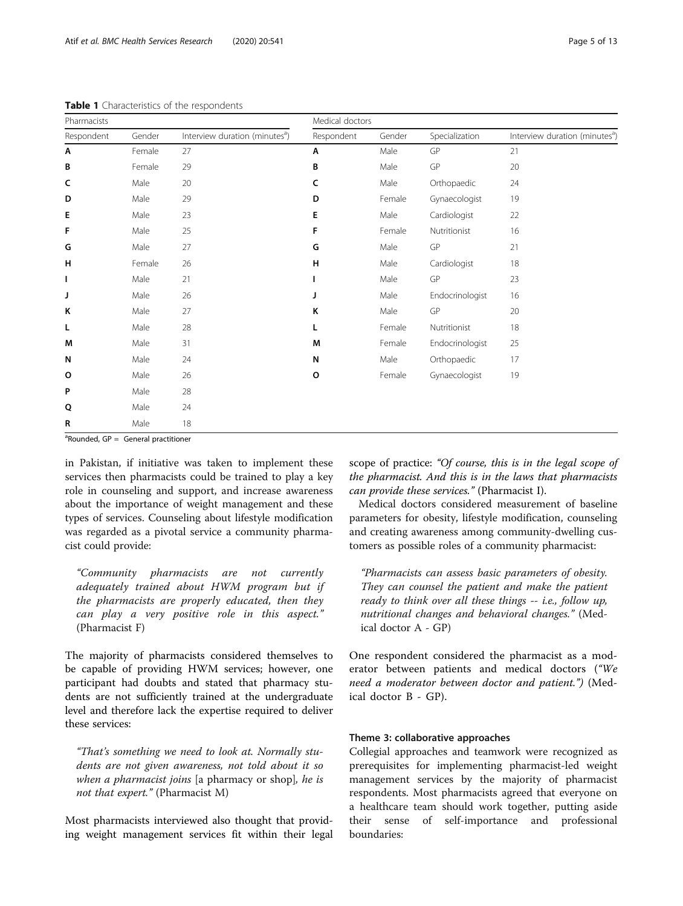| Pharmacists |        |                                            | Medical doctors |        |                 |                                            |
|-------------|--------|--------------------------------------------|-----------------|--------|-----------------|--------------------------------------------|
| Respondent  | Gender | Interview duration (minutes <sup>a</sup> ) | Respondent      | Gender | Specialization  | Interview duration (minutes <sup>a</sup> ) |
| Α           | Female | 27                                         | Α               | Male   | GP              | 21                                         |
| В           | Female | 29                                         | B               | Male   | GP              | 20                                         |
| c           | Male   | 20                                         | c               | Male   | Orthopaedic     | 24                                         |
| D           | Male   | 29                                         | D               | Female | Gynaecologist   | 19                                         |
| Е           | Male   | 23                                         | Е               | Male   | Cardiologist    | 22                                         |
| F           | Male   | 25                                         | F               | Female | Nutritionist    | 16                                         |
| G           | Male   | 27                                         | G               | Male   | GP              | 21                                         |
| н           | Female | 26                                         | н               | Male   | Cardiologist    | 18                                         |
| т           | Male   | 21                                         |                 | Male   | GP              | 23                                         |
| J           | Male   | 26                                         | J               | Male   | Endocrinologist | 16                                         |
| K           | Male   | 27                                         | Κ               | Male   | GP              | 20                                         |
| L           | Male   | 28                                         | L               | Female | Nutritionist    | 18                                         |
| M           | Male   | 31                                         | M               | Female | Endocrinologist | 25                                         |
| N           | Male   | 24                                         | N               | Male   | Orthopaedic     | 17                                         |
| $\circ$     | Male   | 26                                         | o               | Female | Gynaecologist   | 19                                         |
| P           | Male   | 28                                         |                 |        |                 |                                            |
| Q           | Male   | 24                                         |                 |        |                 |                                            |
| R           | Male   | 18                                         |                 |        |                 |                                            |

<span id="page-4-0"></span>Table 1 Characteristics of the respondents

<sup>a</sup>Rounded, GP = General practitioner

in Pakistan, if initiative was taken to implement these services then pharmacists could be trained to play a key role in counseling and support, and increase awareness about the importance of weight management and these types of services. Counseling about lifestyle modification was regarded as a pivotal service a community pharmacist could provide:

"Community pharmacists are not currently adequately trained about HWM program but if the pharmacists are properly educated, then they can play a very positive role in this aspect." (Pharmacist F)

The majority of pharmacists considered themselves to be capable of providing HWM services; however, one participant had doubts and stated that pharmacy students are not sufficiently trained at the undergraduate level and therefore lack the expertise required to deliver these services:

"That's something we need to look at. Normally students are not given awareness, not told about it so when a pharmacist joins [a pharmacy or shop], he is not that expert." (Pharmacist M)

Most pharmacists interviewed also thought that providing weight management services fit within their legal

scope of practice: "Of course, this is in the legal scope of the pharmacist. And this is in the laws that pharmacists can provide these services." (Pharmacist I).

Medical doctors considered measurement of baseline parameters for obesity, lifestyle modification, counseling and creating awareness among community-dwelling customers as possible roles of a community pharmacist:

"Pharmacists can assess basic parameters of obesity. They can counsel the patient and make the patient ready to think over all these things -- i.e., follow up, nutritional changes and behavioral changes." (Medical doctor A - GP)

One respondent considered the pharmacist as a moderator between patients and medical doctors ("We need a moderator between doctor and patient.") (Medical doctor B - GP).

#### Theme 3: collaborative approaches

Collegial approaches and teamwork were recognized as prerequisites for implementing pharmacist-led weight management services by the majority of pharmacist respondents. Most pharmacists agreed that everyone on a healthcare team should work together, putting aside their sense of self-importance and professional boundaries: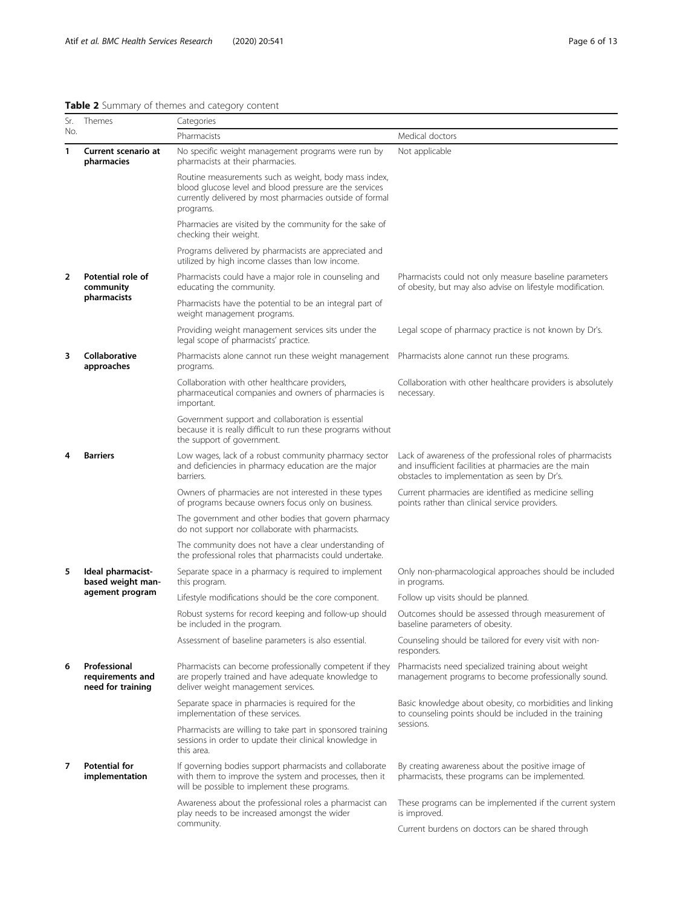<span id="page-5-0"></span>

| Table 2 Summary of themes and category content |  |  |  |
|------------------------------------------------|--|--|--|

| Sr.            | Themes                                                | Categories                                                                                                                                                                                |                                                                                                                                                                      |  |  |
|----------------|-------------------------------------------------------|-------------------------------------------------------------------------------------------------------------------------------------------------------------------------------------------|----------------------------------------------------------------------------------------------------------------------------------------------------------------------|--|--|
| No.            |                                                       | Pharmacists                                                                                                                                                                               | Medical doctors                                                                                                                                                      |  |  |
| 1              | Current scenario at<br>pharmacies                     | No specific weight management programs were run by<br>pharmacists at their pharmacies.                                                                                                    | Not applicable                                                                                                                                                       |  |  |
|                |                                                       | Routine measurements such as weight, body mass index,<br>blood glucose level and blood pressure are the services<br>currently delivered by most pharmacies outside of formal<br>programs. |                                                                                                                                                                      |  |  |
|                |                                                       | Pharmacies are visited by the community for the sake of<br>checking their weight.                                                                                                         |                                                                                                                                                                      |  |  |
|                |                                                       | Programs delivered by pharmacists are appreciated and<br>utilized by high income classes than low income.                                                                                 |                                                                                                                                                                      |  |  |
| $\overline{2}$ | Potential role of<br>community                        | Pharmacists could have a major role in counseling and<br>educating the community.                                                                                                         | Pharmacists could not only measure baseline parameters<br>of obesity, but may also advise on lifestyle modification.                                                 |  |  |
|                | pharmacists                                           | Pharmacists have the potential to be an integral part of<br>weight management programs.                                                                                                   |                                                                                                                                                                      |  |  |
|                |                                                       | Providing weight management services sits under the<br>legal scope of pharmacists' practice.                                                                                              | Legal scope of pharmacy practice is not known by Dr's.                                                                                                               |  |  |
| 3              | Collaborative<br>approaches                           | Pharmacists alone cannot run these weight management<br>programs.                                                                                                                         | Pharmacists alone cannot run these programs.                                                                                                                         |  |  |
|                |                                                       | Collaboration with other healthcare providers,<br>pharmaceutical companies and owners of pharmacies is<br>important.                                                                      | Collaboration with other healthcare providers is absolutely<br>necessary.                                                                                            |  |  |
|                |                                                       | Government support and collaboration is essential<br>because it is really difficult to run these programs without<br>the support of government.                                           |                                                                                                                                                                      |  |  |
| 4              | <b>Barriers</b>                                       | Low wages, lack of a robust community pharmacy sector<br>and deficiencies in pharmacy education are the major<br>barriers.                                                                | Lack of awareness of the professional roles of pharmacists<br>and insufficient facilities at pharmacies are the main<br>obstacles to implementation as seen by Dr's. |  |  |
|                |                                                       | Owners of pharmacies are not interested in these types<br>of programs because owners focus only on business.                                                                              | Current pharmacies are identified as medicine selling<br>points rather than clinical service providers.                                                              |  |  |
|                |                                                       | The government and other bodies that govern pharmacy<br>do not support nor collaborate with pharmacists.                                                                                  |                                                                                                                                                                      |  |  |
|                |                                                       | The community does not have a clear understanding of<br>the professional roles that pharmacists could undertake.                                                                          |                                                                                                                                                                      |  |  |
| 5              | Ideal pharmacist-<br>based weight man-                | Separate space in a pharmacy is required to implement<br>this program.                                                                                                                    | Only non-pharmacological approaches should be included<br>in programs.                                                                                               |  |  |
|                | agement program                                       | Lifestyle modifications should be the core component.                                                                                                                                     | Follow up visits should be planned.                                                                                                                                  |  |  |
|                |                                                       | Robust systems for record keeping and follow-up should<br>be included in the program.                                                                                                     | Outcomes should be assessed through measurement of<br>baseline parameters of obesity.                                                                                |  |  |
|                |                                                       | Assessment of baseline parameters is also essential.                                                                                                                                      | Counseling should be tailored for every visit with non-<br>responders.                                                                                               |  |  |
| 6              | Professional<br>requirements and<br>need for training | Pharmacists can become professionally competent if they<br>are properly trained and have adequate knowledge to<br>deliver weight management services.                                     | Pharmacists need specialized training about weight<br>management programs to become professionally sound.                                                            |  |  |
|                |                                                       | Separate space in pharmacies is required for the<br>implementation of these services.                                                                                                     | Basic knowledge about obesity, co morbidities and linking<br>to counseling points should be included in the training                                                 |  |  |
|                |                                                       | Pharmacists are willing to take part in sponsored training<br>sessions in order to update their clinical knowledge in<br>this area.                                                       | sessions.                                                                                                                                                            |  |  |
| 7              | <b>Potential for</b><br>implementation                | If governing bodies support pharmacists and collaborate<br>with them to improve the system and processes, then it<br>will be possible to implement these programs.                        | By creating awareness about the positive image of<br>pharmacists, these programs can be implemented.                                                                 |  |  |
|                |                                                       | Awareness about the professional roles a pharmacist can<br>play needs to be increased amongst the wider                                                                                   | These programs can be implemented if the current system<br>is improved.                                                                                              |  |  |
|                |                                                       | community.                                                                                                                                                                                | Current burdens on doctors can be shared through                                                                                                                     |  |  |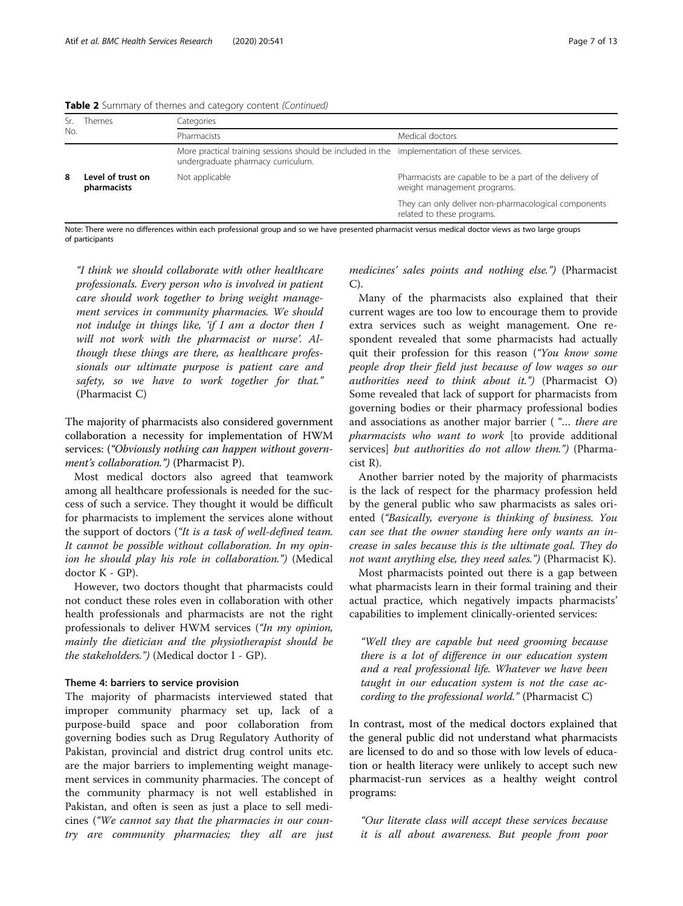Table 2 Summary of themes and category content (Continued)

|     | Themes                           | Categories                                                                                                                         |                                                                                        |  |  |  |
|-----|----------------------------------|------------------------------------------------------------------------------------------------------------------------------------|----------------------------------------------------------------------------------------|--|--|--|
| No. |                                  | Pharmacists                                                                                                                        | Medical doctors                                                                        |  |  |  |
|     |                                  | More practical training sessions should be included in the implementation of these services.<br>undergraduate pharmacy curriculum. |                                                                                        |  |  |  |
| 8   | Level of trust on<br>pharmacists | Not applicable                                                                                                                     | Pharmacists are capable to be a part of the delivery of<br>weight management programs. |  |  |  |
|     |                                  |                                                                                                                                    | They can only deliver non-pharmacological components<br>related to these programs.     |  |  |  |

Note: There were no differences within each professional group and so we have presented pharmacist versus medical doctor views as two large groups of participants

"I think we should collaborate with other healthcare professionals. Every person who is involved in patient care should work together to bring weight management services in community pharmacies. We should not indulge in things like, 'if I am a doctor then I will not work with the pharmacist or nurse'. Although these things are there, as healthcare professionals our ultimate purpose is patient care and safety, so we have to work together for that." (Pharmacist C)

The majority of pharmacists also considered government collaboration a necessity for implementation of HWM services: ("Obviously nothing can happen without government's collaboration.") (Pharmacist P).

Most medical doctors also agreed that teamwork among all healthcare professionals is needed for the success of such a service. They thought it would be difficult for pharmacists to implement the services alone without the support of doctors ("It is a task of well-defined team. It cannot be possible without collaboration. In my opinion he should play his role in collaboration.") (Medical doctor K - GP).

However, two doctors thought that pharmacists could not conduct these roles even in collaboration with other health professionals and pharmacists are not the right professionals to deliver HWM services ("In my opinion, mainly the dietician and the physiotherapist should be the stakeholders.") (Medical doctor I - GP).

#### Theme 4: barriers to service provision

The majority of pharmacists interviewed stated that improper community pharmacy set up, lack of a purpose-build space and poor collaboration from governing bodies such as Drug Regulatory Authority of Pakistan, provincial and district drug control units etc. are the major barriers to implementing weight management services in community pharmacies. The concept of the community pharmacy is not well established in Pakistan, and often is seen as just a place to sell medicines ("We cannot say that the pharmacies in our country are community pharmacies; they all are just

medicines' sales points and nothing else.") (Pharmacist C).

Many of the pharmacists also explained that their current wages are too low to encourage them to provide extra services such as weight management. One respondent revealed that some pharmacists had actually quit their profession for this reason ("You know some people drop their field just because of low wages so our authorities need to think about it.") (Pharmacist O) Some revealed that lack of support for pharmacists from governing bodies or their pharmacy professional bodies and associations as another major barrier ( "… there are pharmacists who want to work [to provide additional services] but authorities do not allow them.") (Pharmacist R).

Another barrier noted by the majority of pharmacists is the lack of respect for the pharmacy profession held by the general public who saw pharmacists as sales oriented ("Basically, everyone is thinking of business. You can see that the owner standing here only wants an increase in sales because this is the ultimate goal. They do not want anything else, they need sales.") (Pharmacist K).

Most pharmacists pointed out there is a gap between what pharmacists learn in their formal training and their actual practice, which negatively impacts pharmacists' capabilities to implement clinically-oriented services:

"Well they are capable but need grooming because there is a lot of difference in our education system and a real professional life. Whatever we have been taught in our education system is not the case according to the professional world." (Pharmacist C)

In contrast, most of the medical doctors explained that the general public did not understand what pharmacists are licensed to do and so those with low levels of education or health literacy were unlikely to accept such new pharmacist-run services as a healthy weight control programs:

"Our literate class will accept these services because it is all about awareness. But people from poor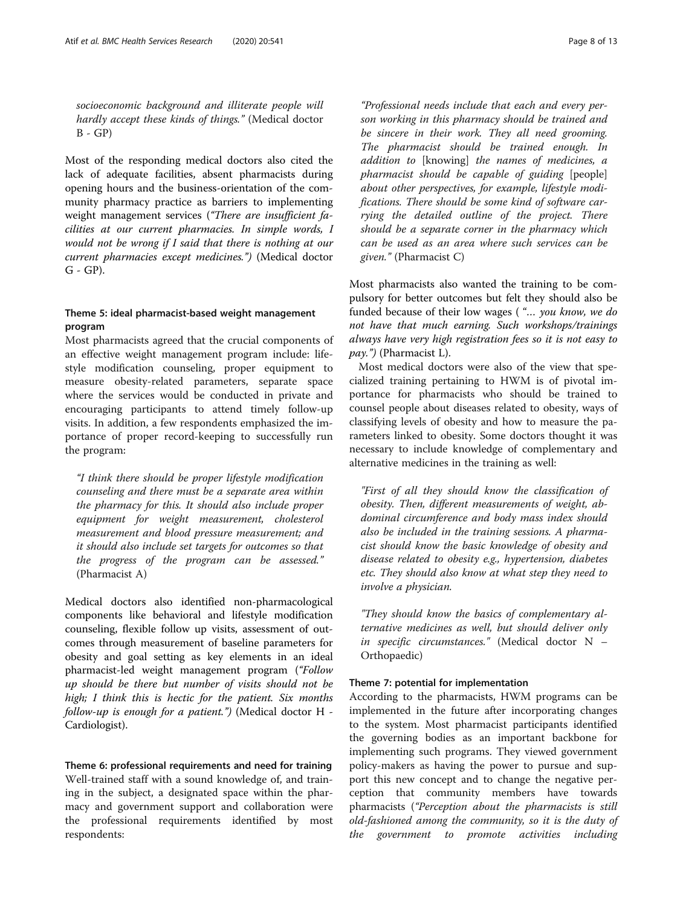socioeconomic background and illiterate people will hardly accept these kinds of things." (Medical doctor  $B - GP$ )

Most of the responding medical doctors also cited the lack of adequate facilities, absent pharmacists during opening hours and the business-orientation of the community pharmacy practice as barriers to implementing weight management services ("There are insufficient facilities at our current pharmacies. In simple words, I would not be wrong if I said that there is nothing at our current pharmacies except medicines.") (Medical doctor  $G - GP$ ).

#### Theme 5: ideal pharmacist-based weight management program

Most pharmacists agreed that the crucial components of an effective weight management program include: lifestyle modification counseling, proper equipment to measure obesity-related parameters, separate space where the services would be conducted in private and encouraging participants to attend timely follow-up visits. In addition, a few respondents emphasized the importance of proper record-keeping to successfully run the program:

"I think there should be proper lifestyle modification counseling and there must be a separate area within the pharmacy for this. It should also include proper equipment for weight measurement, cholesterol measurement and blood pressure measurement; and it should also include set targets for outcomes so that the progress of the program can be assessed." (Pharmacist A)

Medical doctors also identified non-pharmacological components like behavioral and lifestyle modification counseling, flexible follow up visits, assessment of outcomes through measurement of baseline parameters for obesity and goal setting as key elements in an ideal pharmacist-led weight management program ("Follow up should be there but number of visits should not be high; I think this is hectic for the patient. Six months follow-up is enough for a patient.") (Medical doctor H - Cardiologist).

Theme 6: professional requirements and need for training Well-trained staff with a sound knowledge of, and training in the subject, a designated space within the pharmacy and government support and collaboration were the professional requirements identified by most respondents:

"Professional needs include that each and every person working in this pharmacy should be trained and be sincere in their work. They all need grooming. The pharmacist should be trained enough. In addition to [knowing] the names of medicines, a pharmacist should be capable of guiding [people] about other perspectives, for example, lifestyle modifications. There should be some kind of software carrying the detailed outline of the project. There should be a separate corner in the pharmacy which can be used as an area where such services can be given." (Pharmacist C)

Most pharmacists also wanted the training to be compulsory for better outcomes but felt they should also be funded because of their low wages ("... you know, we do not have that much earning. Such workshops/trainings always have very high registration fees so it is not easy to  $pay.$ ") (Pharmacist L).

Most medical doctors were also of the view that specialized training pertaining to HWM is of pivotal importance for pharmacists who should be trained to counsel people about diseases related to obesity, ways of classifying levels of obesity and how to measure the parameters linked to obesity. Some doctors thought it was necessary to include knowledge of complementary and alternative medicines in the training as well:

"First of all they should know the classification of obesity. Then, different measurements of weight, abdominal circumference and body mass index should also be included in the training sessions. A pharmacist should know the basic knowledge of obesity and disease related to obesity e.g., hypertension, diabetes etc. They should also know at what step they need to involve a physician.

"They should know the basics of complementary alternative medicines as well, but should deliver only in specific circumstances." (Medical doctor N – Orthopaedic)

#### Theme 7: potential for implementation

According to the pharmacists, HWM programs can be implemented in the future after incorporating changes to the system. Most pharmacist participants identified the governing bodies as an important backbone for implementing such programs. They viewed government policy-makers as having the power to pursue and support this new concept and to change the negative perception that community members have towards pharmacists ("Perception about the pharmacists is still old-fashioned among the community, so it is the duty of the government to promote activities including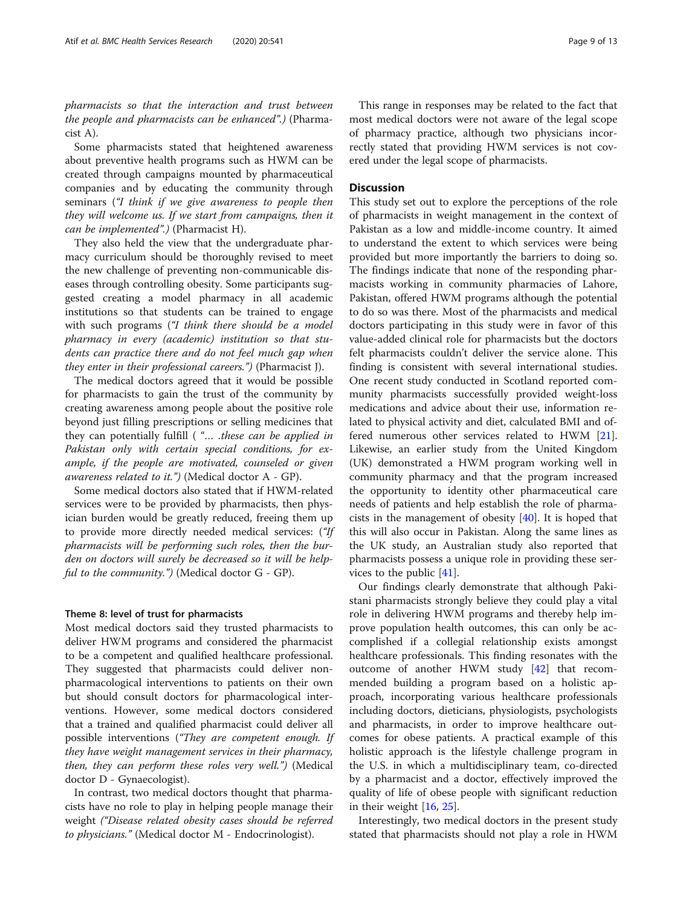pharmacists so that the interaction and trust between the people and pharmacists can be enhanced".) (Pharmacist A).

Some pharmacists stated that heightened awareness about preventive health programs such as HWM can be created through campaigns mounted by pharmaceutical companies and by educating the community through seminars ("I think if we give awareness to people then they will welcome us. If we start from campaigns, then it can be implemented".) (Pharmacist H).

They also held the view that the undergraduate pharmacy curriculum should be thoroughly revised to meet the new challenge of preventing non-communicable diseases through controlling obesity. Some participants suggested creating a model pharmacy in all academic institutions so that students can be trained to engage with such programs ("I think there should be a model pharmacy in every (academic) institution so that students can practice there and do not feel much gap when they enter in their professional careers.") (Pharmacist J).

The medical doctors agreed that it would be possible for pharmacists to gain the trust of the community by creating awareness among people about the positive role beyond just filling prescriptions or selling medicines that they can potentially fulfill ( "… .these can be applied in Pakistan only with certain special conditions, for example, if the people are motivated, counseled or given awareness related to it.") (Medical doctor A - GP).

Some medical doctors also stated that if HWM-related services were to be provided by pharmacists, then physician burden would be greatly reduced, freeing them up to provide more directly needed medical services: ("If pharmacists will be performing such roles, then the burden on doctors will surely be decreased so it will be helpful to the community.") (Medical doctor G - GP).

#### Theme 8: level of trust for pharmacists

Most medical doctors said they trusted pharmacists to deliver HWM programs and considered the pharmacist to be a competent and qualified healthcare professional. They suggested that pharmacists could deliver nonpharmacological interventions to patients on their own but should consult doctors for pharmacological interventions. However, some medical doctors considered that a trained and qualified pharmacist could deliver all possible interventions ("They are competent enough. If they have weight management services in their pharmacy, then, they can perform these roles very well.") (Medical doctor D - Gynaecologist).

In contrast, two medical doctors thought that pharmacists have no role to play in helping people manage their weight ("Disease related obesity cases should be referred to physicians." (Medical doctor M - Endocrinologist).

This range in responses may be related to the fact that most medical doctors were not aware of the legal scope of pharmacy practice, although two physicians incorrectly stated that providing HWM services is not covered under the legal scope of pharmacists.

#### **Discussion**

This study set out to explore the perceptions of the role of pharmacists in weight management in the context of Pakistan as a low and middle-income country. It aimed to understand the extent to which services were being provided but more importantly the barriers to doing so. The findings indicate that none of the responding pharmacists working in community pharmacies of Lahore, Pakistan, offered HWM programs although the potential to do so was there. Most of the pharmacists and medical doctors participating in this study were in favor of this value-added clinical role for pharmacists but the doctors felt pharmacists couldn't deliver the service alone. This finding is consistent with several international studies. One recent study conducted in Scotland reported community pharmacists successfully provided weight-loss medications and advice about their use, information related to physical activity and diet, calculated BMI and offered numerous other services related to HWM [\[21](#page-11-0)]. Likewise, an earlier study from the United Kingdom (UK) demonstrated a HWM program working well in community pharmacy and that the program increased the opportunity to identity other pharmaceutical care needs of patients and help establish the role of pharmacists in the management of obesity  $[40]$  $[40]$ . It is hoped that this will also occur in Pakistan. Along the same lines as the UK study, an Australian study also reported that pharmacists possess a unique role in providing these services to the public [[41](#page-12-0)].

Our findings clearly demonstrate that although Pakistani pharmacists strongly believe they could play a vital role in delivering HWM programs and thereby help improve population health outcomes, this can only be accomplished if a collegial relationship exists amongst healthcare professionals. This finding resonates with the outcome of another HWM study [\[42](#page-12-0)] that recommended building a program based on a holistic approach, incorporating various healthcare professionals including doctors, dieticians, physiologists, psychologists and pharmacists, in order to improve healthcare outcomes for obese patients. A practical example of this holistic approach is the lifestyle challenge program in the U.S. in which a multidisciplinary team, co-directed by a pharmacist and a doctor, effectively improved the quality of life of obese people with significant reduction in their weight [[16,](#page-11-0) [25\]](#page-11-0).

Interestingly, two medical doctors in the present study stated that pharmacists should not play a role in HWM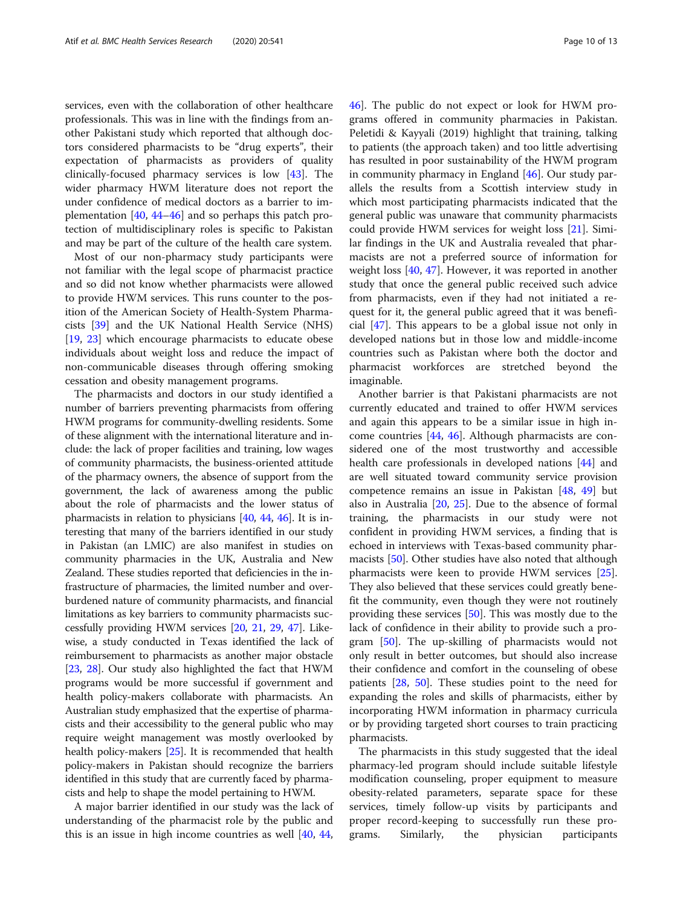services, even with the collaboration of other healthcare professionals. This was in line with the findings from another Pakistani study which reported that although doctors considered pharmacists to be "drug experts", their expectation of pharmacists as providers of quality clinically-focused pharmacy services is low [\[43\]](#page-12-0). The wider pharmacy HWM literature does not report the under confidence of medical doctors as a barrier to implementation [[40,](#page-12-0) [44](#page-12-0)–[46\]](#page-12-0) and so perhaps this patch protection of multidisciplinary roles is specific to Pakistan and may be part of the culture of the health care system.

Most of our non-pharmacy study participants were not familiar with the legal scope of pharmacist practice and so did not know whether pharmacists were allowed to provide HWM services. This runs counter to the position of the American Society of Health-System Pharmacists [[39](#page-12-0)] and the UK National Health Service (NHS) [[19,](#page-11-0) [23\]](#page-11-0) which encourage pharmacists to educate obese individuals about weight loss and reduce the impact of non-communicable diseases through offering smoking cessation and obesity management programs.

The pharmacists and doctors in our study identified a number of barriers preventing pharmacists from offering HWM programs for community-dwelling residents. Some of these alignment with the international literature and include: the lack of proper facilities and training, low wages of community pharmacists, the business-oriented attitude of the pharmacy owners, the absence of support from the government, the lack of awareness among the public about the role of pharmacists and the lower status of pharmacists in relation to physicians [[40](#page-12-0), [44,](#page-12-0) [46\]](#page-12-0). It is interesting that many of the barriers identified in our study in Pakistan (an LMIC) are also manifest in studies on community pharmacies in the UK, Australia and New Zealand. These studies reported that deficiencies in the infrastructure of pharmacies, the limited number and overburdened nature of community pharmacists, and financial limitations as key barriers to community pharmacists successfully providing HWM services [\[20,](#page-11-0) [21](#page-11-0), [29](#page-11-0), [47\]](#page-12-0). Likewise, a study conducted in Texas identified the lack of reimbursement to pharmacists as another major obstacle [[23](#page-11-0), [28](#page-11-0)]. Our study also highlighted the fact that HWM programs would be more successful if government and health policy-makers collaborate with pharmacists. An Australian study emphasized that the expertise of pharmacists and their accessibility to the general public who may require weight management was mostly overlooked by health policy-makers [[25](#page-11-0)]. It is recommended that health policy-makers in Pakistan should recognize the barriers identified in this study that are currently faced by pharmacists and help to shape the model pertaining to HWM.

A major barrier identified in our study was the lack of understanding of the pharmacist role by the public and this is an issue in high income countries as well [\[40,](#page-12-0) [44](#page-12-0), [46\]](#page-12-0). The public do not expect or look for HWM programs offered in community pharmacies in Pakistan. Peletidi & Kayyali (2019) highlight that training, talking to patients (the approach taken) and too little advertising has resulted in poor sustainability of the HWM program in community pharmacy in England [[46\]](#page-12-0). Our study parallels the results from a Scottish interview study in which most participating pharmacists indicated that the general public was unaware that community pharmacists could provide HWM services for weight loss [[21\]](#page-11-0). Similar findings in the UK and Australia revealed that pharmacists are not a preferred source of information for weight loss [\[40](#page-12-0), [47](#page-12-0)]. However, it was reported in another study that once the general public received such advice from pharmacists, even if they had not initiated a request for it, the general public agreed that it was beneficial [\[47\]](#page-12-0). This appears to be a global issue not only in developed nations but in those low and middle-income countries such as Pakistan where both the doctor and pharmacist workforces are stretched beyond the imaginable.

Another barrier is that Pakistani pharmacists are not currently educated and trained to offer HWM services and again this appears to be a similar issue in high income countries [\[44,](#page-12-0) [46](#page-12-0)]. Although pharmacists are considered one of the most trustworthy and accessible health care professionals in developed nations [\[44](#page-12-0)] and are well situated toward community service provision competence remains an issue in Pakistan [\[48](#page-12-0), [49\]](#page-12-0) but also in Australia [[20,](#page-11-0) [25\]](#page-11-0). Due to the absence of formal training, the pharmacists in our study were not confident in providing HWM services, a finding that is echoed in interviews with Texas-based community pharmacists [\[50\]](#page-12-0). Other studies have also noted that although pharmacists were keen to provide HWM services [\[25](#page-11-0)]. They also believed that these services could greatly benefit the community, even though they were not routinely providing these services [[50](#page-12-0)]. This was mostly due to the lack of confidence in their ability to provide such a program [\[50](#page-12-0)]. The up-skilling of pharmacists would not only result in better outcomes, but should also increase their confidence and comfort in the counseling of obese patients [\[28,](#page-11-0) [50\]](#page-12-0). These studies point to the need for expanding the roles and skills of pharmacists, either by incorporating HWM information in pharmacy curricula or by providing targeted short courses to train practicing pharmacists.

The pharmacists in this study suggested that the ideal pharmacy-led program should include suitable lifestyle modification counseling, proper equipment to measure obesity-related parameters, separate space for these services, timely follow-up visits by participants and proper record-keeping to successfully run these programs. Similarly, the physician participants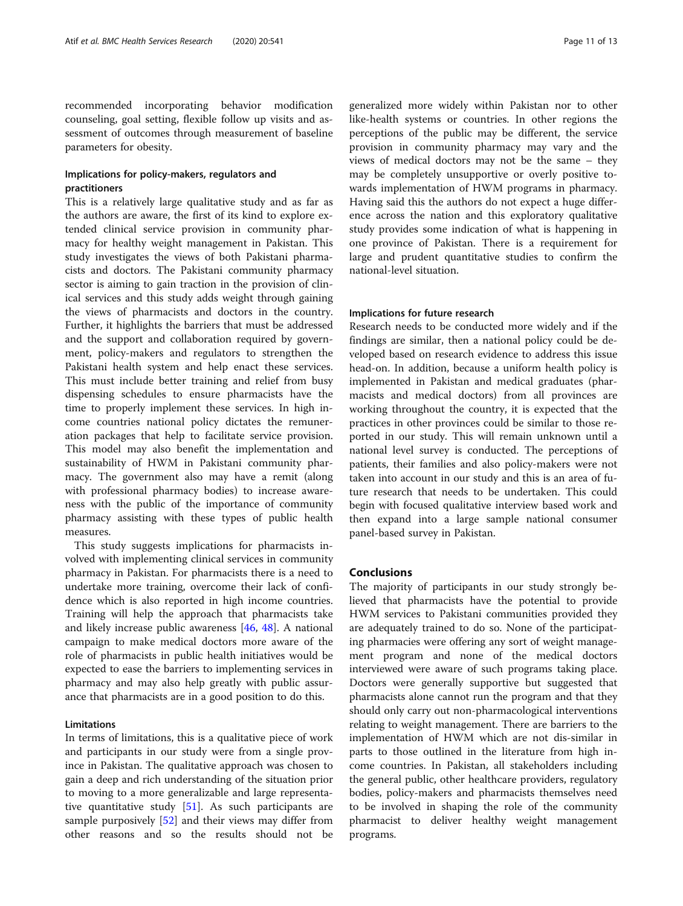recommended incorporating behavior modification counseling, goal setting, flexible follow up visits and assessment of outcomes through measurement of baseline parameters for obesity.

#### Implications for policy-makers, regulators and practitioners

This is a relatively large qualitative study and as far as the authors are aware, the first of its kind to explore extended clinical service provision in community pharmacy for healthy weight management in Pakistan. This study investigates the views of both Pakistani pharmacists and doctors. The Pakistani community pharmacy sector is aiming to gain traction in the provision of clinical services and this study adds weight through gaining the views of pharmacists and doctors in the country. Further, it highlights the barriers that must be addressed and the support and collaboration required by government, policy-makers and regulators to strengthen the Pakistani health system and help enact these services. This must include better training and relief from busy dispensing schedules to ensure pharmacists have the time to properly implement these services. In high income countries national policy dictates the remuneration packages that help to facilitate service provision. This model may also benefit the implementation and sustainability of HWM in Pakistani community pharmacy. The government also may have a remit (along with professional pharmacy bodies) to increase awareness with the public of the importance of community pharmacy assisting with these types of public health measures.

This study suggests implications for pharmacists involved with implementing clinical services in community pharmacy in Pakistan. For pharmacists there is a need to undertake more training, overcome their lack of confidence which is also reported in high income countries. Training will help the approach that pharmacists take and likely increase public awareness [[46,](#page-12-0) [48](#page-12-0)]. A national campaign to make medical doctors more aware of the role of pharmacists in public health initiatives would be expected to ease the barriers to implementing services in pharmacy and may also help greatly with public assurance that pharmacists are in a good position to do this.

#### Limitations

In terms of limitations, this is a qualitative piece of work and participants in our study were from a single province in Pakistan. The qualitative approach was chosen to gain a deep and rich understanding of the situation prior to moving to a more generalizable and large representative quantitative study [\[51\]](#page-12-0). As such participants are sample purposively [\[52\]](#page-12-0) and their views may differ from other reasons and so the results should not be

generalized more widely within Pakistan nor to other like-health systems or countries. In other regions the perceptions of the public may be different, the service provision in community pharmacy may vary and the views of medical doctors may not be the same – they may be completely unsupportive or overly positive towards implementation of HWM programs in pharmacy. Having said this the authors do not expect a huge difference across the nation and this exploratory qualitative study provides some indication of what is happening in one province of Pakistan. There is a requirement for large and prudent quantitative studies to confirm the national-level situation.

#### Implications for future research

Research needs to be conducted more widely and if the findings are similar, then a national policy could be developed based on research evidence to address this issue head-on. In addition, because a uniform health policy is implemented in Pakistan and medical graduates (pharmacists and medical doctors) from all provinces are working throughout the country, it is expected that the practices in other provinces could be similar to those reported in our study. This will remain unknown until a national level survey is conducted. The perceptions of patients, their families and also policy-makers were not taken into account in our study and this is an area of future research that needs to be undertaken. This could begin with focused qualitative interview based work and then expand into a large sample national consumer panel-based survey in Pakistan.

#### Conclusions

The majority of participants in our study strongly believed that pharmacists have the potential to provide HWM services to Pakistani communities provided they are adequately trained to do so. None of the participating pharmacies were offering any sort of weight management program and none of the medical doctors interviewed were aware of such programs taking place. Doctors were generally supportive but suggested that pharmacists alone cannot run the program and that they should only carry out non-pharmacological interventions relating to weight management. There are barriers to the implementation of HWM which are not dis-similar in parts to those outlined in the literature from high income countries. In Pakistan, all stakeholders including the general public, other healthcare providers, regulatory bodies, policy-makers and pharmacists themselves need to be involved in shaping the role of the community pharmacist to deliver healthy weight management programs.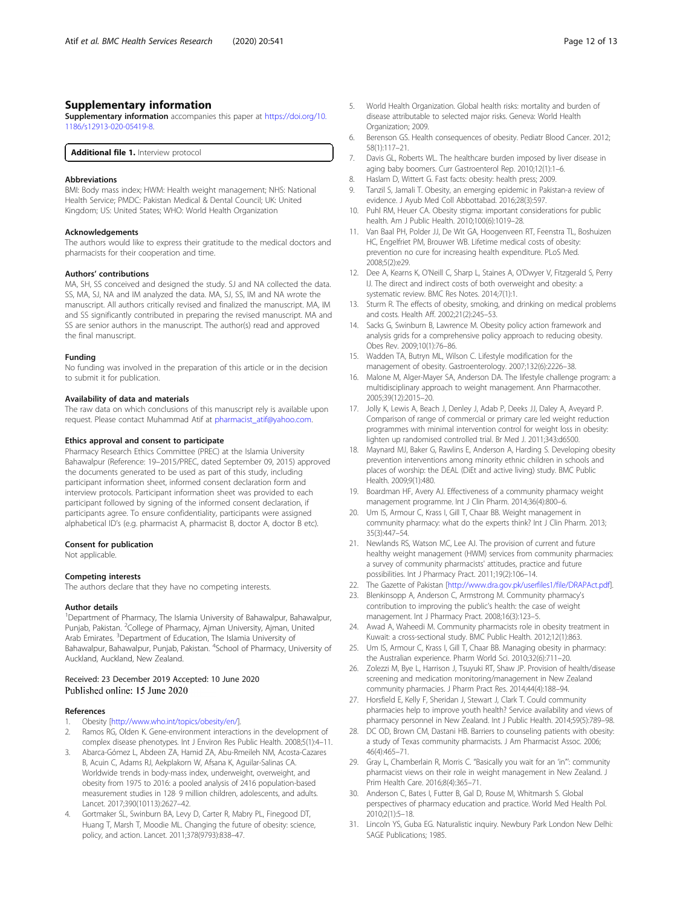#### <span id="page-11-0"></span>Supplementary information

Supplementary information accompanies this paper at [https://doi.org/10.](https://doi.org/10.1186/s12913-020-05419-8) [1186/s12913-020-05419-8](https://doi.org/10.1186/s12913-020-05419-8).

Additional file 1. Interview protocol

#### Abbreviations

BMI: Body mass index; HWM: Health weight management; NHS: National Health Service; PMDC: Pakistan Medical & Dental Council; UK: United Kingdom; US: United States; WHO: World Health Organization

#### Acknowledgements

The authors would like to express their gratitude to the medical doctors and pharmacists for their cooperation and time.

#### Authors' contributions

MA, SH, SS conceived and designed the study. SJ and NA collected the data. SS, MA, SJ, NA and IM analyzed the data. MA, SJ, SS, IM and NA wrote the manuscript. All authors critically revised and finalized the manuscript. MA, IM and SS significantly contributed in preparing the revised manuscript. MA and SS are senior authors in the manuscript. The author(s) read and approved the final manuscript.

#### Funding

No funding was involved in the preparation of this article or in the decision to submit it for publication.

#### Availability of data and materials

The raw data on which conclusions of this manuscript rely is available upon request. Please contact Muhammad Atif at [pharmacist\\_atif@yahoo.com.](mailto:pharmacist_atif@yahoo.com)

#### Ethics approval and consent to participate

Pharmacy Research Ethics Committee (PREC) at the Islamia University Bahawalpur (Reference: 19–2015/PREC, dated September 09, 2015) approved the documents generated to be used as part of this study, including participant information sheet, informed consent declaration form and interview protocols. Participant information sheet was provided to each participant followed by signing of the informed consent declaration, if participants agree. To ensure confidentiality, participants were assigned alphabetical ID's (e.g. pharmacist A, pharmacist B, doctor A, doctor B etc).

#### Consent for publication

Not applicable.

#### Competing interests

The authors declare that they have no competing interests.

#### Author details

<sup>1</sup>Department of Pharmacy, The Islamia University of Bahawalpur, Bahawalpur, Punjab, Pakistan. <sup>2</sup>College of Pharmacy, Ajman University, Ajman, United Arab Emirates. <sup>3</sup>Department of Education, The Islamia University of Bahawalpur, Bahawalpur, Punjab, Pakistan. <sup>4</sup>School of Pharmacy, University of Auckland, Auckland, New Zealand.

# Received: 23 December 2019 Accepted: 10 June 2020

#### References

- 1. Obesity [\[http://www.who.int/topics/obesity/en/](http://www.who.int/topics/obesity/en/)].
- 2. Ramos RG, Olden K. Gene-environment interactions in the development of complex disease phenotypes. Int J Environ Res Public Health. 2008;5(1):4–11.
- 3. Abarca-Gómez L, Abdeen ZA, Hamid ZA, Abu-Rmeileh NM, Acosta-Cazares B, Acuin C, Adams RJ, Aekplakorn W, Afsana K, Aguilar-Salinas CA. Worldwide trends in body-mass index, underweight, overweight, and obesity from 1975 to 2016: a pooled analysis of 2416 population-based measurement studies in 128· 9 million children, adolescents, and adults. Lancet. 2017;390(10113):2627–42.
- 4. Gortmaker SL, Swinburn BA, Levy D, Carter R, Mabry PL, Finegood DT, Huang T, Marsh T, Moodie ML. Changing the future of obesity: science, policy, and action. Lancet. 2011;378(9793):838–47.
- 5. World Health Organization. Global health risks: mortality and burden of disease attributable to selected major risks. Geneva: World Health Organization; 2009.
- 6. Berenson GS. Health consequences of obesity. Pediatr Blood Cancer. 2012; 58(1):117–21.
- 7. Davis GL, Roberts WL. The healthcare burden imposed by liver disease in aging baby boomers. Curr Gastroenterol Rep. 2010;12(1):1–6.
- 8. Haslam D, Wittert G. Fast facts: obesity: health press; 2009.
- 9. Tanzil S, Jamali T. Obesity, an emerging epidemic in Pakistan-a review of evidence. J Ayub Med Coll Abbottabad. 2016;28(3):597.
- 10. Puhl RM, Heuer CA. Obesity stigma: important considerations for public health. Am J Public Health. 2010;100(6):1019–28.
- 11. Van Baal PH, Polder JJ, De Wit GA, Hoogenveen RT, Feenstra TL, Boshuizen HC, Engelfriet PM, Brouwer WB. Lifetime medical costs of obesity: prevention no cure for increasing health expenditure. PLoS Med. 2008;5(2):e29.
- 12. Dee A, Kearns K, O'Neill C, Sharp L, Staines A, O'Dwyer V, Fitzgerald S, Perry IJ. The direct and indirect costs of both overweight and obesity: a systematic review. BMC Res Notes. 2014;7(1):1.
- 13. Sturm R. The effects of obesity, smoking, and drinking on medical problems and costs. Health Aff. 2002;21(2):245–53.
- 14. Sacks G, Swinburn B, Lawrence M. Obesity policy action framework and analysis grids for a comprehensive policy approach to reducing obesity. Obes Rev. 2009;10(1):76–86.
- 15. Wadden TA, Butryn ML, Wilson C. Lifestyle modification for the management of obesity. Gastroenterology. 2007;132(6):2226–38.
- 16. Malone M, Alger-Mayer SA, Anderson DA. The lifestyle challenge program: a multidisciplinary approach to weight management. Ann Pharmacother. 2005;39(12):2015–20.
- 17. Jolly K, Lewis A, Beach J, Denley J, Adab P, Deeks JJ, Daley A, Aveyard P. Comparison of range of commercial or primary care led weight reduction programmes with minimal intervention control for weight loss in obesity: lighten up randomised controlled trial. Br Med J. 2011;343:d6500.
- 18. Maynard MJ, Baker G, Rawlins E, Anderson A, Harding S. Developing obesity prevention interventions among minority ethnic children in schools and places of worship: the DEAL (DiEt and active living) study. BMC Public Health. 2009;9(1):480.
- 19. Boardman HF, Avery AJ. Effectiveness of a community pharmacy weight management programme. Int J Clin Pharm. 2014;36(4):800–6.
- 20. Um IS, Armour C, Krass I, Gill T, Chaar BB. Weight management in community pharmacy: what do the experts think? Int J Clin Pharm. 2013; 35(3):447–54.
- 21. Newlands RS, Watson MC, Lee AJ. The provision of current and future healthy weight management (HWM) services from community pharmacies: a survey of community pharmacists' attitudes, practice and future possibilities. Int J Pharmacy Pract. 2011;19(2):106–14.
- 22. The Gazette of Pakistan [<http://www.dra.gov.pk/userfiles1/file/DRAPAct.pdf>].
- 23. Blenkinsopp A, Anderson C, Armstrong M. Community pharmacy's contribution to improving the public's health: the case of weight management. Int J Pharmacy Pract. 2008;16(3):123–5.
- 24. Awad A, Waheedi M. Community pharmacists role in obesity treatment in Kuwait: a cross-sectional study. BMC Public Health. 2012;12(1):863.
- 25. Um IS, Armour C, Krass I, Gill T, Chaar BB. Managing obesity in pharmacy: the Australian experience. Pharm World Sci. 2010;32(6):711–20.
- 26. Zolezzi M, Bye L, Harrison J, Tsuyuki RT, Shaw JP. Provision of health/disease screening and medication monitoring/management in New Zealand community pharmacies. J Pharm Pract Res. 2014;44(4):188–94.
- 27. Horsfield E, Kelly F, Sheridan J, Stewart J, Clark T. Could community pharmacies help to improve youth health? Service availability and views of pharmacy personnel in New Zealand. Int J Public Health. 2014;59(5):789–98.
- 28. DC OD, Brown CM, Dastani HB. Barriers to counseling patients with obesity: a study of Texas community pharmacists. J Am Pharmacist Assoc. 2006; 46(4):465–71.
- 29. Gray L, Chamberlain R, Morris C. "Basically you wait for an 'in"': community pharmacist views on their role in weight management in New Zealand. J Prim Health Care. 2016;8(4):365–71.
- 30. Anderson C, Bates I, Futter B, Gal D, Rouse M, Whitmarsh S. Global perspectives of pharmacy education and practice. World Med Health Pol. 2010;2(1):5–18.
- 31. Lincoln YS, Guba EG. Naturalistic inquiry. Newbury Park London New Delhi: SAGE Publications; 1985.